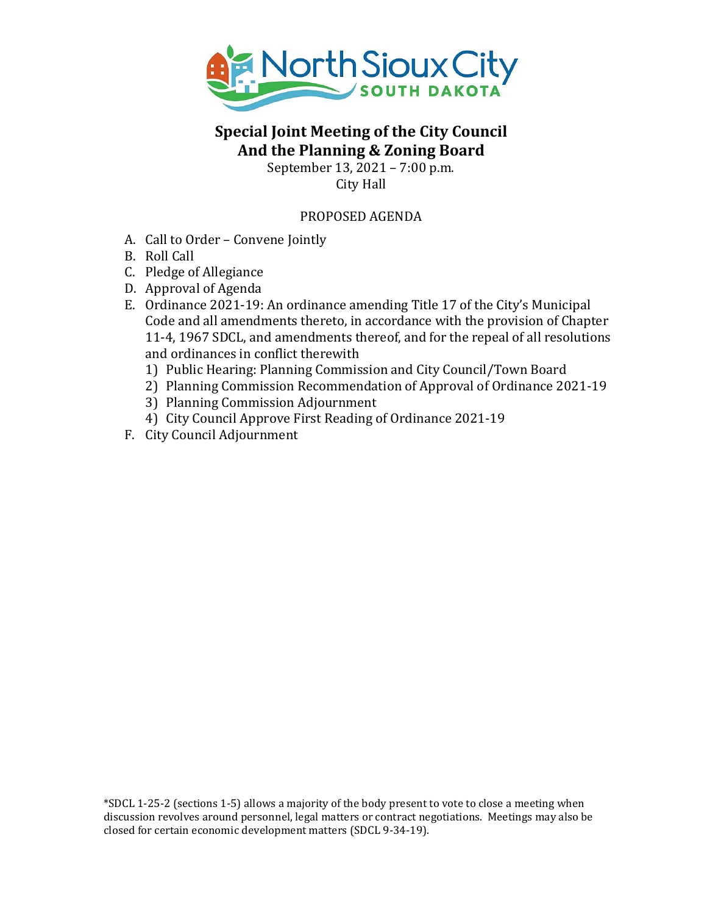

# **Special Joint Meeting of the City Council And the Planning & Zoning Board**

September 13, 2021 – 7:00 p.m. City Hall

## PROPOSED AGENDA

- A. Call to Order Convene Jointly
- B. Roll Call
- C. Pledge of Allegiance
- D. Approval of Agenda
- E. Ordinance 2021-19: An ordinance amending Title 17 of the City's Municipal Code and all amendments thereto, in accordance with the provision of Chapter 11-4, 1967 SDCL, and amendments thereof, and for the repeal of all resolutions and ordinances in conflict therewith
	- 1) Public Hearing: Planning Commission and City Council/Town Board
	- 2) Planning Commission Recommendation of Approval of Ordinance 2021-19
	- 3) Planning Commission Adjournment
	- 4) City Council Approve First Reading of Ordinance 2021-19
- F. City Council Adjournment

\*SDCL 1-25-2 (sections 1-5) allows a majority of the body present to vote to close a meeting when discussion revolves around personnel, legal matters or contract negotiations. Meetings may also be closed for certain economic development matters (SDCL 9-34-19).